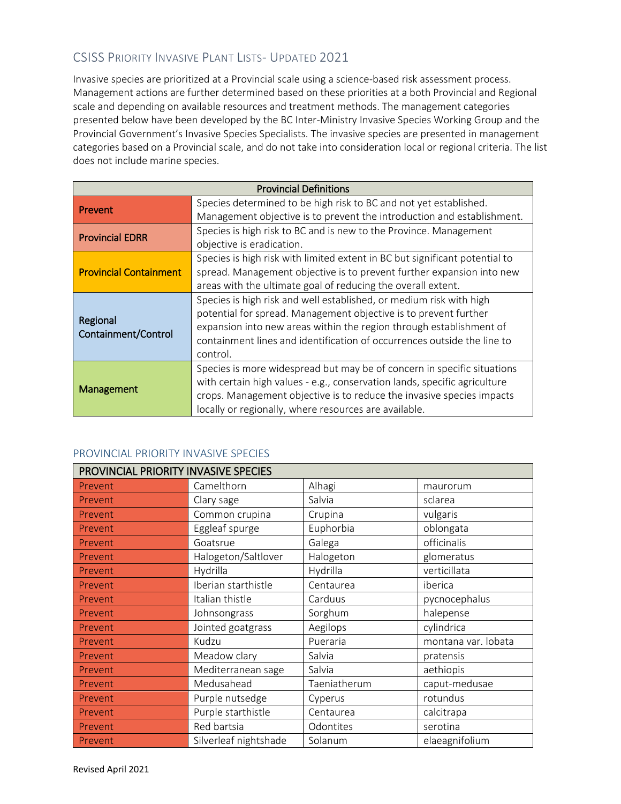### CSISS PRIORITY INVASIVE PLANT LISTS- UPDATED 2021

Invasive species are prioritized at a Provincial scale using a science-based risk assessment process. Management actions are further determined based on these priorities at a both Provincial and Regional scale and depending on available resources and treatment methods. The management categories presented below have been developed by the BC Inter-Ministry Invasive Species Working Group and the Provincial Government's Invasive Species Specialists. The invasive species are presented in management categories based on a Provincial scale, and do not take into consideration local or regional criteria. The list does not include marine species.

| <b>Provincial Definitions</b> |                                                                             |  |  |
|-------------------------------|-----------------------------------------------------------------------------|--|--|
| Prevent                       | Species determined to be high risk to BC and not yet established.           |  |  |
|                               | Management objective is to prevent the introduction and establishment.      |  |  |
| <b>Provincial EDRR</b>        | Species is high risk to BC and is new to the Province. Management           |  |  |
|                               | objective is eradication.                                                   |  |  |
|                               | Species is high risk with limited extent in BC but significant potential to |  |  |
| <b>Provincial Containment</b> | spread. Management objective is to prevent further expansion into new       |  |  |
|                               | areas with the ultimate goal of reducing the overall extent.                |  |  |
|                               | Species is high risk and well established, or medium risk with high         |  |  |
| Regional                      | potential for spread. Management objective is to prevent further            |  |  |
| Containment/Control           | expansion into new areas within the region through establishment of         |  |  |
|                               | containment lines and identification of occurrences outside the line to     |  |  |
|                               | control.                                                                    |  |  |
|                               | Species is more widespread but may be of concern in specific situations     |  |  |
|                               | with certain high values - e.g., conservation lands, specific agriculture   |  |  |
| <b>Management</b>             | crops. Management objective is to reduce the invasive species impacts       |  |  |
|                               | locally or regionally, where resources are available.                       |  |  |

#### PROVINCIAL PRIORITY INVASIVE SPECIES

| PROVINCIAL PRIORITY INVASIVE SPECIES |                       |              |                     |  |
|--------------------------------------|-----------------------|--------------|---------------------|--|
| Prevent                              | Camelthorn            | Alhagi       | maurorum            |  |
| Prevent                              | Clary sage            | Salvia       | sclarea             |  |
| Prevent                              | Common crupina        | Crupina      | vulgaris            |  |
| Prevent                              | Eggleaf spurge        | Euphorbia    | oblongata           |  |
| Prevent                              | Goatsrue              | Galega       | officinalis         |  |
| Prevent                              | Halogeton/Saltlover   | Halogeton    | glomeratus          |  |
| Prevent                              | Hydrilla              | Hydrilla     | verticillata        |  |
| Prevent                              | Iberian starthistle   | Centaurea    | iberica             |  |
| Prevent                              | Italian thistle       | Carduus      | pycnocephalus       |  |
| Prevent                              | Johnsongrass          | Sorghum      | halepense           |  |
| Prevent                              | Jointed goatgrass     | Aegilops     | cylindrica          |  |
| Prevent                              | Kudzu                 | Pueraria     | montana var. lobata |  |
| Prevent                              | Meadow clary          | Salvia       | pratensis           |  |
| Prevent                              | Mediterranean sage    | Salvia       | aethiopis           |  |
| Prevent                              | Medusahead            | Taeniatherum | caput-medusae       |  |
| Prevent                              | Purple nutsedge       | Cyperus      | rotundus            |  |
| Prevent                              | Purple starthistle    | Centaurea    | calcitrapa          |  |
| Prevent                              | Red bartsia           | Odontites    | serotina            |  |
| Prevent                              | Silverleaf nightshade | Solanum      | elaeagnifolium      |  |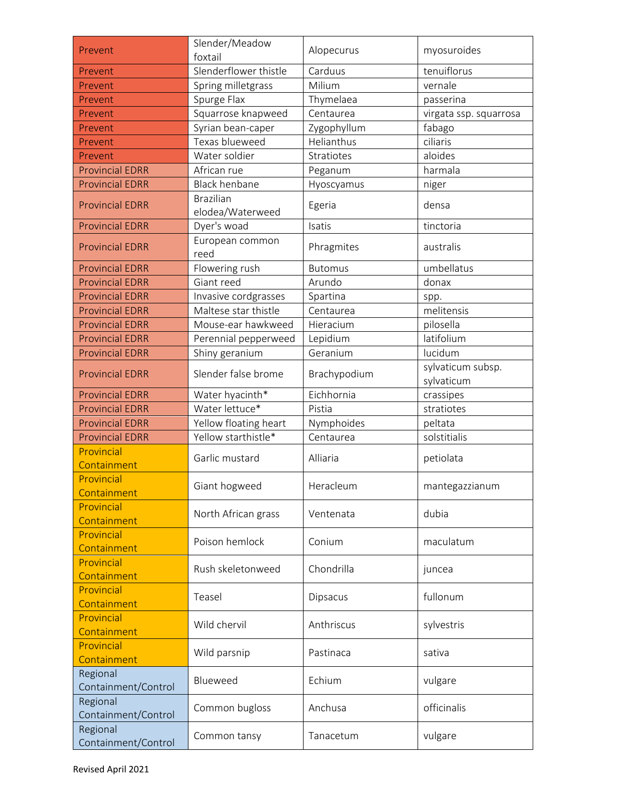| Prevent                         | Slender/Meadow<br>foxtail | Alopecurus     | myosuroides                     |
|---------------------------------|---------------------------|----------------|---------------------------------|
| Prevent                         | Slenderflower thistle     | Carduus        | tenuiflorus                     |
| Prevent                         | Spring milletgrass        | Milium         | vernale                         |
| Prevent                         | Spurge Flax               | Thymelaea      | passerina                       |
| Prevent                         | Squarrose knapweed        | Centaurea      | virgata ssp. squarrosa          |
| Prevent                         | Syrian bean-caper         | Zygophyllum    | fabago                          |
| Prevent                         | Texas blueweed            | Helianthus     | ciliaris                        |
| Prevent                         | Water soldier             | Stratiotes     | aloides                         |
| <b>Provincial EDRR</b>          | African rue               | Peganum        | harmala                         |
| <b>Provincial EDRR</b>          | <b>Black henbane</b>      | Hyoscyamus     | niger                           |
|                                 | <b>Brazilian</b>          |                |                                 |
| <b>Provincial EDRR</b>          | elodea/Waterweed          | Egeria         | densa                           |
| <b>Provincial EDRR</b>          | Dyer's woad               | Isatis         | tinctoria                       |
| <b>Provincial EDRR</b>          | European common           |                | australis                       |
|                                 | reed                      | Phragmites     |                                 |
| <b>Provincial EDRR</b>          | Flowering rush            | <b>Butomus</b> | umbellatus                      |
| <b>Provincial EDRR</b>          | Giant reed                | Arundo         | donax                           |
| <b>Provincial EDRR</b>          | Invasive cordgrasses      | Spartina       | spp.                            |
| <b>Provincial EDRR</b>          | Maltese star thistle      | Centaurea      | melitensis                      |
| <b>Provincial EDRR</b>          | Mouse-ear hawkweed        | Hieracium      | pilosella                       |
| <b>Provincial EDRR</b>          | Perennial pepperweed      | Lepidium       | latifolium                      |
| <b>Provincial EDRR</b>          | Shiny geranium            | Geranium       | lucidum                         |
| <b>Provincial EDRR</b>          | Slender false brome       | Brachypodium   | sylvaticum subsp.<br>sylvaticum |
| <b>Provincial EDRR</b>          | Water hyacinth*           | Eichhornia     | crassipes                       |
| <b>Provincial EDRR</b>          | Water lettuce*            | Pistia         | stratiotes                      |
| <b>Provincial EDRR</b>          | Yellow floating heart     | Nymphoides     | peltata                         |
| <b>Provincial EDRR</b>          | Yellow starthistle*       | Centaurea      | solstitialis                    |
| Provincial<br>Containment       | Garlic mustard            | Alliaria       | petiolata                       |
| Provincial<br>Containment       | Giant hogweed             | Heracleum      | mantegazzianum                  |
| Provincial<br>Containment       | North African grass       | Ventenata      | dubia                           |
| Provincial                      |                           |                |                                 |
| Containment                     | Poison hemlock            | Conium         | maculatum                       |
| Provincial                      |                           |                |                                 |
| Containment                     | Rush skeletonweed         | Chondrilla     | juncea                          |
| Provincial                      |                           |                |                                 |
| Containment                     | Teasel                    | Dipsacus       | fullonum                        |
| Provincial                      | Wild chervil              | Anthriscus     | sylvestris                      |
| Containment                     |                           |                |                                 |
| Provincial<br>Containment       | Wild parsnip              | Pastinaca      | sativa                          |
| Regional<br>Containment/Control | Blueweed                  | Echium         | vulgare                         |
| Regional<br>Containment/Control | Common bugloss            | Anchusa        | officinalis                     |
| Regional<br>Containment/Control | Common tansy              | Tanacetum      | vulgare                         |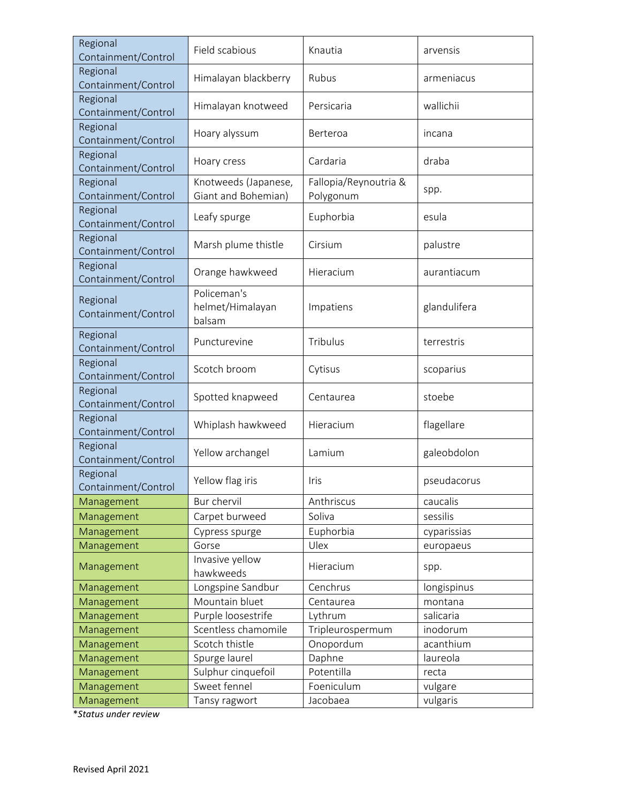| Regional<br>Containment/Control | Field scabious                              | Knautia                            | arvensis     |
|---------------------------------|---------------------------------------------|------------------------------------|--------------|
| Regional<br>Containment/Control | Himalayan blackberry                        | Rubus                              | armeniacus   |
| Regional<br>Containment/Control | Himalayan knotweed                          | Persicaria                         | wallichii    |
| Regional<br>Containment/Control | Hoary alyssum                               | Berteroa                           | incana       |
| Regional<br>Containment/Control | Hoary cress                                 | Cardaria                           | draba        |
| Regional<br>Containment/Control | Knotweeds (Japanese,<br>Giant and Bohemian) | Fallopia/Reynoutria &<br>Polygonum | spp.         |
| Regional<br>Containment/Control | Leafy spurge                                | Euphorbia                          | esula        |
| Regional<br>Containment/Control | Marsh plume thistle                         | Cirsium                            | palustre     |
| Regional<br>Containment/Control | Orange hawkweed                             | Hieracium                          | aurantiacum  |
| Regional<br>Containment/Control | Policeman's<br>helmet/Himalayan<br>balsam   | Impatiens                          | glandulifera |
| Regional<br>Containment/Control | Puncturevine                                | Tribulus                           | terrestris   |
| Regional<br>Containment/Control | Scotch broom                                | Cytisus                            | scoparius    |
| Regional<br>Containment/Control | Spotted knapweed                            | Centaurea                          | stoebe       |
| Regional<br>Containment/Control | Whiplash hawkweed                           | Hieracium                          | flagellare   |
| Regional<br>Containment/Control | Yellow archangel                            | Lamium                             | galeobdolon  |
| Regional<br>Containment/Control | Yellow flag iris                            | Iris                               | pseudacorus  |
| Management                      | Bur chervil                                 | Anthriscus                         | caucalis     |
| Management                      | Carpet burweed                              | Soliva                             | sessilis     |
| Management                      | Cypress spurge                              | Euphorbia                          | cyparissias  |
| Management                      | Gorse                                       | Ulex                               | europaeus    |
| Management                      | Invasive yellow<br>hawkweeds                | Hieracium                          | spp.         |
| Management                      | Longspine Sandbur                           | Cenchrus                           | longispinus  |
| Management                      | Mountain bluet                              | Centaurea                          | montana      |
| Management                      | Purple loosestrife                          | Lythrum                            | salicaria    |
| Management                      | Scentless chamomile                         | Tripleurospermum                   | inodorum     |
| Management                      | Scotch thistle                              | Onopordum                          | acanthium    |
| Management                      | Spurge laurel                               | Daphne                             | laureola     |
| Management                      | Sulphur cinquefoil                          | Potentilla                         | recta        |
| Management                      | Sweet fennel                                | Foeniculum                         | vulgare      |
| Management                      | Tansy ragwort                               | Jacobaea                           | vulgaris     |

\**Status under review*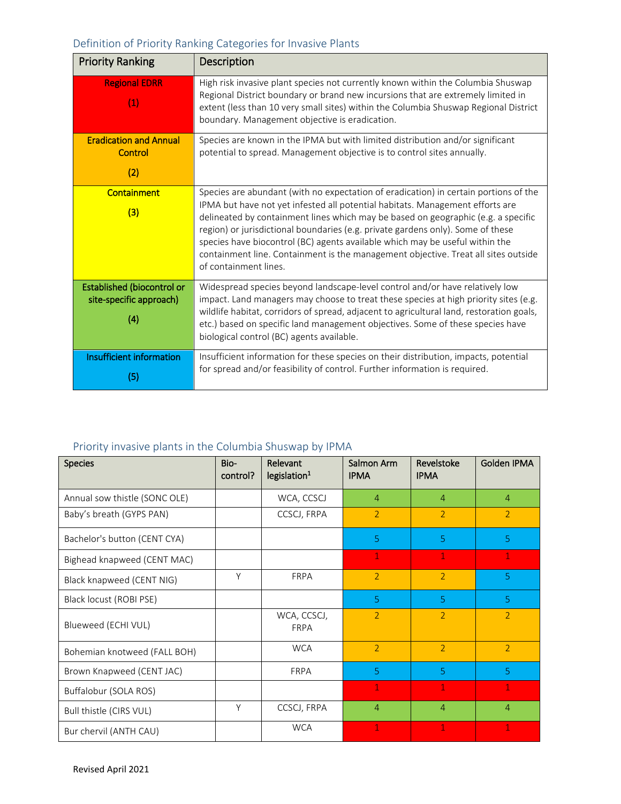## Definition of Priority Ranking Categories for Invasive Plants

| <b>Priority Ranking</b>                                      | Description                                                                                                                                                                                                                                                                                                                                                                                                                                                                                                                                  |
|--------------------------------------------------------------|----------------------------------------------------------------------------------------------------------------------------------------------------------------------------------------------------------------------------------------------------------------------------------------------------------------------------------------------------------------------------------------------------------------------------------------------------------------------------------------------------------------------------------------------|
| <b>Regional EDRR</b><br>(1)                                  | High risk invasive plant species not currently known within the Columbia Shuswap<br>Regional District boundary or brand new incursions that are extremely limited in<br>extent (less than 10 very small sites) within the Columbia Shuswap Regional District<br>boundary. Management objective is eradication.                                                                                                                                                                                                                               |
| <b>Eradication and Annual</b><br>Control                     | Species are known in the IPMA but with limited distribution and/or significant<br>potential to spread. Management objective is to control sites annually.                                                                                                                                                                                                                                                                                                                                                                                    |
| (2)                                                          |                                                                                                                                                                                                                                                                                                                                                                                                                                                                                                                                              |
| <b>Containment</b><br>(3)                                    | Species are abundant (with no expectation of eradication) in certain portions of the<br>IPMA but have not yet infested all potential habitats. Management efforts are<br>delineated by containment lines which may be based on geographic (e.g. a specific<br>region) or jurisdictional boundaries (e.g. private gardens only). Some of these<br>species have biocontrol (BC) agents available which may be useful within the<br>containment line. Containment is the management objective. Treat all sites outside<br>of containment lines. |
| Established (biocontrol or<br>site-specific approach)<br>(4) | Widespread species beyond landscape-level control and/or have relatively low<br>impact. Land managers may choose to treat these species at high priority sites (e.g.<br>wildlife habitat, corridors of spread, adjacent to agricultural land, restoration goals,<br>etc.) based on specific land management objectives. Some of these species have<br>biological control (BC) agents available.                                                                                                                                              |
| Insufficient information<br>(5)                              | Insufficient information for these species on their distribution, impacts, potential<br>for spread and/or feasibility of control. Further information is required.                                                                                                                                                                                                                                                                                                                                                                           |

### Priority invasive plants in the Columbia Shuswap by IPMA

| <b>Species</b>                | Bio-<br>control? | Relevant<br>legislation <sup>1</sup> | Salmon Arm<br><b>IPMA</b> | Revelstoke<br><b>IPMA</b> | Golden IPMA    |
|-------------------------------|------------------|--------------------------------------|---------------------------|---------------------------|----------------|
| Annual sow thistle (SONC OLE) |                  | WCA, CCSCJ                           | $\overline{4}$            | $\overline{4}$            | $\overline{4}$ |
| Baby's breath (GYPS PAN)      |                  | CCSCJ, FRPA                          | $\overline{2}$            | 2                         | $\overline{2}$ |
| Bachelor's button (CENT CYA)  |                  |                                      | 5                         | 5                         | 5              |
| Bighead knapweed (CENT MAC)   |                  |                                      | 1                         | 1                         | 1              |
| Black knapweed (CENT NIG)     | Y                | <b>FRPA</b>                          | $\overline{2}$            | 2                         | 5              |
| Black locust (ROBI PSE)       |                  |                                      | 5                         | 5 <sup>1</sup>            | 5 <sup>1</sup> |
| Blueweed (ECHI VUL)           |                  | WCA, CCSCJ,<br><b>FRPA</b>           | $\overline{2}$            | $\overline{2}$            | $\overline{2}$ |
| Bohemian knotweed (FALL BOH)  |                  | <b>WCA</b>                           | $\overline{2}$            | $\overline{2}$            | $\overline{2}$ |
| Brown Knapweed (CENT JAC)     |                  | <b>FRPA</b>                          | 5                         | $\overline{5}$            | $\overline{5}$ |
| Buffalobur (SOLA ROS)         |                  |                                      | 1                         | 1                         | 1              |
| Bull thistle (CIRS VUL)       | γ                | CCSCJ, FRPA                          | $\overline{4}$            | $\overline{4}$            | $\overline{4}$ |
| Bur chervil (ANTH CAU)        |                  | <b>WCA</b>                           | 1                         | 1                         | 1              |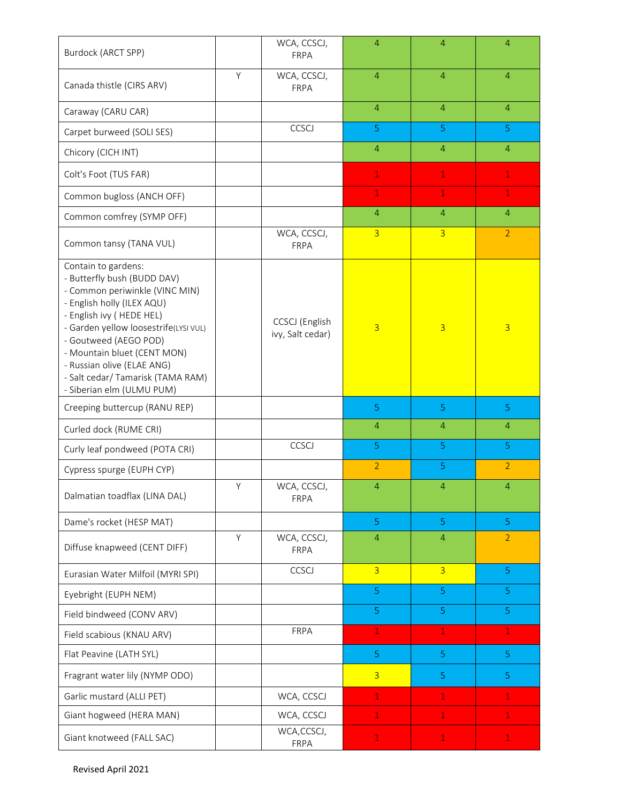| Burdock (ARCT SPP)                                                                                                                                                                                                                                                                                                                              |   | WCA, CCSCJ,<br>FRPA                | $\overline{4}$ | $\overline{4}$ | $\overline{4}$ |
|-------------------------------------------------------------------------------------------------------------------------------------------------------------------------------------------------------------------------------------------------------------------------------------------------------------------------------------------------|---|------------------------------------|----------------|----------------|----------------|
| Canada thistle (CIRS ARV)                                                                                                                                                                                                                                                                                                                       | Y | WCA, CCSCJ,<br><b>FRPA</b>         | $\overline{4}$ | $\overline{4}$ | $\overline{4}$ |
| Caraway (CARU CAR)                                                                                                                                                                                                                                                                                                                              |   |                                    | $\overline{4}$ | $\overline{4}$ | $\overline{4}$ |
| Carpet burweed (SOLI SES)                                                                                                                                                                                                                                                                                                                       |   | CCSCJ                              | 5              | 5 <sub>1</sub> | 5 <sup>1</sup> |
| Chicory (CICH INT)                                                                                                                                                                                                                                                                                                                              |   |                                    | $\overline{4}$ | $\overline{4}$ | $\overline{4}$ |
| Colt's Foot (TUS FAR)                                                                                                                                                                                                                                                                                                                           |   |                                    | $\mathbf 1$    | $\mathbf{1}$   | $\mathbf{1}$   |
| Common bugloss (ANCH OFF)                                                                                                                                                                                                                                                                                                                       |   |                                    | $\mathbf{1}$   | $\mathbf{1}$   | $\mathbf{1}$   |
| Common comfrey (SYMP OFF)                                                                                                                                                                                                                                                                                                                       |   |                                    | $\overline{4}$ | $\overline{4}$ | $\overline{4}$ |
| Common tansy (TANA VUL)                                                                                                                                                                                                                                                                                                                         |   | WCA, CCSCJ,<br>FRPA                | $\overline{3}$ | $\overline{3}$ | $\overline{2}$ |
| Contain to gardens:<br>- Butterfly bush (BUDD DAV)<br>- Common periwinkle (VINC MIN)<br>- English holly (ILEX AQU)<br>- English ivy (HEDE HEL)<br>- Garden yellow loosestrife(LYSI VUL)<br>- Goutweed (AEGO POD)<br>- Mountain bluet (CENT MON)<br>- Russian olive (ELAE ANG)<br>- Salt cedar/ Tamarisk (TAMA RAM)<br>- Siberian elm (ULMU PUM) |   | CCSCJ (English<br>ivy, Salt cedar) | $\overline{3}$ | $\overline{3}$ | $\overline{3}$ |
| Creeping buttercup (RANU REP)                                                                                                                                                                                                                                                                                                                   |   |                                    | 5              | 5              | 5              |
| Curled dock (RUME CRI)                                                                                                                                                                                                                                                                                                                          |   |                                    | $\overline{4}$ | $\overline{4}$ | $\overline{4}$ |
| Curly leaf pondweed (POTA CRI)                                                                                                                                                                                                                                                                                                                  |   | CCSCJ                              | 5              | 5              | 5              |
| Cypress spurge (EUPH CYP)                                                                                                                                                                                                                                                                                                                       |   |                                    | $\overline{2}$ | $\overline{5}$ | $\overline{2}$ |
| Dalmatian toadflax (LINA DAL)                                                                                                                                                                                                                                                                                                                   | Υ | WCA, CCSCJ,<br>FRPA                | $\overline{4}$ | 4              | $\overline{4}$ |
| Dame's rocket (HESP MAT)                                                                                                                                                                                                                                                                                                                        |   |                                    | $\overline{5}$ | $\overline{5}$ | $\overline{5}$ |
| Diffuse knapweed (CENT DIFF)                                                                                                                                                                                                                                                                                                                    | Υ | WCA, CCSCJ,<br>FRPA                | $\overline{4}$ | $\overline{4}$ | $\overline{2}$ |
| Eurasian Water Milfoil (MYRI SPI)                                                                                                                                                                                                                                                                                                               |   | CCSCJ                              | $\overline{3}$ | $\overline{3}$ | 5 <sup>1</sup> |
| Eyebright (EUPH NEM)                                                                                                                                                                                                                                                                                                                            |   |                                    | 5              | 5              | 5              |
| Field bindweed (CONV ARV)                                                                                                                                                                                                                                                                                                                       |   |                                    | 5              | 5              | 5 <sub>1</sub> |
| Field scabious (KNAU ARV)                                                                                                                                                                                                                                                                                                                       |   | FRPA                               | $\mathbf{1}$   | $\mathbf{1}$   | $\mathbf{1}$   |
| Flat Peavine (LATH SYL)                                                                                                                                                                                                                                                                                                                         |   |                                    | 5              | 5 <sub>1</sub> | 5 <sup>1</sup> |
| Fragrant water lily (NYMP ODO)                                                                                                                                                                                                                                                                                                                  |   |                                    | $\overline{3}$ | 5 <sup>1</sup> | 5              |
| Garlic mustard (ALLI PET)                                                                                                                                                                                                                                                                                                                       |   | WCA, CCSCJ                         | $\mathbf{1}$   | $\mathbf{1}$   | $\mathbf{1}$   |
| Giant hogweed (HERA MAN)                                                                                                                                                                                                                                                                                                                        |   | WCA, CCSCJ                         | $\mathbf{1}$   | $\mathbf{1}$   | $\mathbf{1}$   |
| Giant knotweed (FALL SAC)                                                                                                                                                                                                                                                                                                                       |   | WCA, CCSCJ,                        | $\mathbf{1}$   | $\,1\,$        | $\mathbf 1$    |

Revised April 2021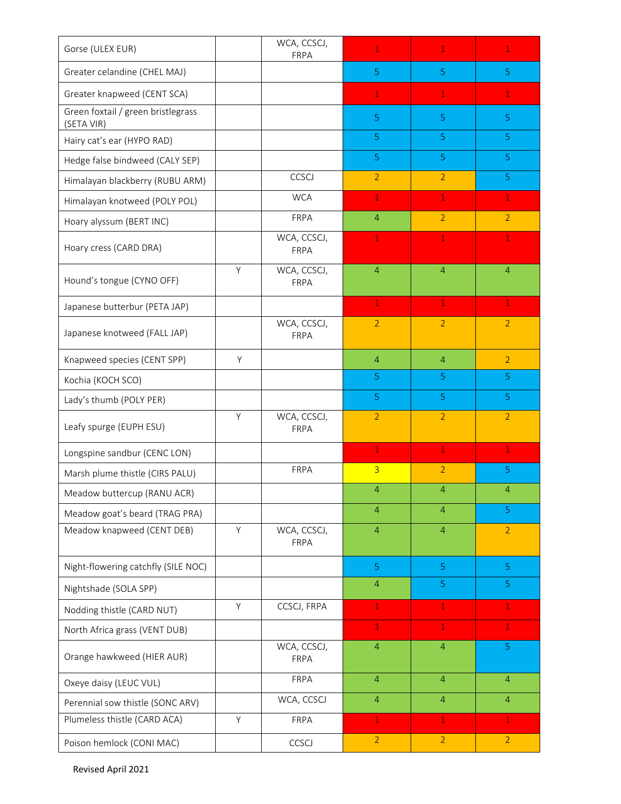| Gorse (ULEX EUR)                                 |   | WCA, CCSCJ,<br>FRPA | $\mathbf{1}$   | $\mathbf{1}$   | $\mathbf{1}$   |
|--------------------------------------------------|---|---------------------|----------------|----------------|----------------|
| Greater celandine (CHEL MAJ)                     |   |                     | 5              | 5              | 5              |
| Greater knapweed (CENT SCA)                      |   |                     | $\mathbf{1}$   | 1              | $\mathbf{1}$   |
| Green foxtail / green bristlegrass<br>(SETA VIR) |   |                     | 5              | 5              | 5              |
| Hairy cat's ear (HYPO RAD)                       |   |                     | 5              | $\overline{5}$ | 5              |
| Hedge false bindweed (CALY SEP)                  |   |                     | 5              | 5 <sub>1</sub> | 5              |
| Himalayan blackberry (RUBU ARM)                  |   | CCSCJ               | $\overline{2}$ | 2              | 5              |
| Himalayan knotweed (POLY POL)                    |   | <b>WCA</b>          | $\mathbf{1}$   | $\mathbf 1$    | $\mathbf{1}$   |
| Hoary alyssum (BERT INC)                         |   | FRPA                | $\overline{4}$ | $\overline{2}$ | $\overline{2}$ |
| Hoary cress (CARD DRA)                           |   | WCA, CCSCJ,<br>FRPA | 1              | 1              | $\mathbf{1}$   |
| Hound's tongue (CYNO OFF)                        | Y | WCA, CCSCJ,<br>FRPA | $\overline{4}$ | $\overline{4}$ | $\overline{4}$ |
| Japanese butterbur (PETA JAP)                    |   |                     | $\mathbf{1}$   | $\mathbf{1}$   | $\mathbf{1}$   |
| Japanese knotweed (FALL JAP)                     |   | WCA, CCSCJ,<br>FRPA | $\overline{2}$ | $\overline{2}$ | $\overline{2}$ |
| Knapweed species (CENT SPP)                      | Y |                     | $\overline{4}$ | $\overline{4}$ | $\overline{2}$ |
| Kochia (KOCH SCO)                                |   |                     | 5              | 5              | $\overline{5}$ |
| Lady's thumb (POLY PER)                          |   |                     | 5              | 5              | 5              |
| Leafy spurge (EUPH ESU)                          | Y | WCA, CCSCJ,<br>FRPA | $\overline{2}$ | $\overline{2}$ | $\overline{2}$ |
| Longspine sandbur (CENC LON)                     |   |                     | $\mathbf{1}$   | $\mathbf{1}$   | $\mathbf{1}$   |
| Marsh plume thistle (CIRS PALU)                  |   | FRPA                | $\overline{3}$ | $\overline{2}$ | 5              |
| Meadow buttercup (RANU ACR)                      |   |                     | $\overline{4}$ | $\overline{4}$ | $\overline{4}$ |
| Meadow goat's beard (TRAG PRA)                   |   |                     | $\overline{4}$ | $\overline{4}$ | 5              |
| Meadow knapweed (CENT DEB)                       | Y | WCA, CCSCJ,<br>FRPA | $\overline{4}$ | $\overline{4}$ | $\overline{2}$ |
| Night-flowering catchfly (SILE NOC)              |   |                     | 5              | 5 <sub>1</sub> | 5              |
| Nightshade (SOLA SPP)                            |   |                     | $\overline{4}$ | 5              | 5              |
| Nodding thistle (CARD NUT)                       | Y | CCSCJ, FRPA         | $\mathbf{1}$   | $\mathbf{1}$   | $\mathbf{1}$   |
| North Africa grass (VENT DUB)                    |   |                     | $\mathbf{1}$   | $\mathbf{1}$   | $\mathbf{1}$   |
| Orange hawkweed (HIER AUR)                       |   | WCA, CCSCJ,<br>FRPA | $\overline{4}$ | $\overline{4}$ | 5 <sub>1</sub> |
| Oxeye daisy (LEUC VUL)                           |   | FRPA                | $\overline{4}$ | $\overline{4}$ | $\overline{4}$ |
| Perennial sow thistle (SONC ARV)                 |   | WCA, CCSCJ          | $\overline{4}$ | $\overline{4}$ | $\overline{4}$ |
| Plumeless thistle (CARD ACA)                     | Y | FRPA                | $\mathbf 1$    | $\mathbf{1}$   | $\mathbf{1}$   |
| Poison hemlock (CONI MAC)                        |   | CCSCJ               | $\overline{2}$ | $\overline{2}$ | $\overline{2}$ |

Revised April 2021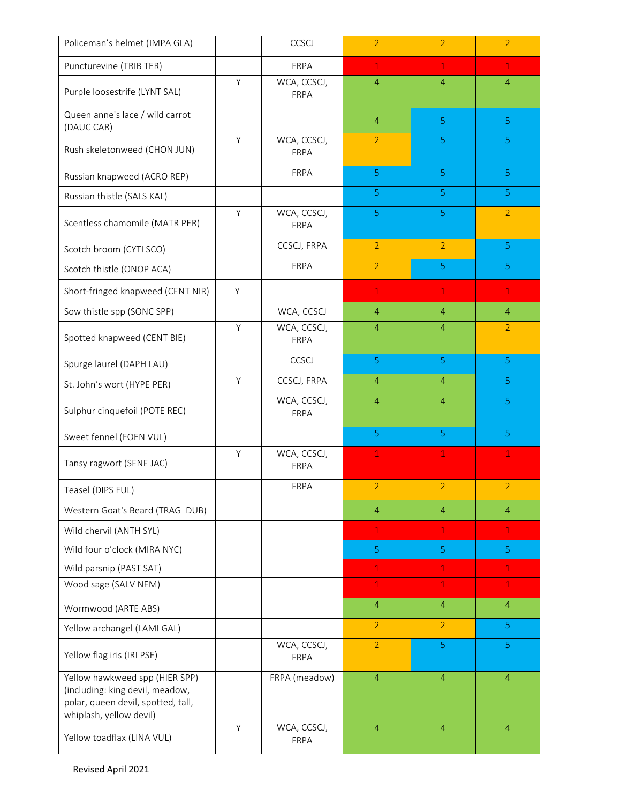| Policeman's helmet (IMPA GLA)                                                                                                      |   | CCSCJ                      | $\overline{2}$ | $\overline{2}$ | $\overline{2}$ |
|------------------------------------------------------------------------------------------------------------------------------------|---|----------------------------|----------------|----------------|----------------|
| Puncturevine (TRIB TER)                                                                                                            |   | <b>FRPA</b>                | $\mathbf{1}$   | $\mathbf{1}$   | $\mathbf{1}$   |
| Purple loosestrife (LYNT SAL)                                                                                                      | Y | WCA, CCSCJ,<br>FRPA        | $\overline{4}$ | $\overline{4}$ | $\overline{4}$ |
| Queen anne's lace / wild carrot<br>(DAUC CAR)                                                                                      |   |                            | $\overline{4}$ | 5 <sup>1</sup> | 5              |
| Rush skeletonweed (CHON JUN)                                                                                                       | Y | WCA, CCSCJ,<br><b>FRPA</b> | $\overline{2}$ | 5              | 5              |
| Russian knapweed (ACRO REP)                                                                                                        |   | FRPA                       | 5              | $\overline{5}$ | 5 <sup>1</sup> |
| Russian thistle (SALS KAL)                                                                                                         |   |                            | 5              | 5              | 5              |
| Scentless chamomile (MATR PER)                                                                                                     | Y | WCA, CCSCJ,<br>FRPA        | 5              | 5 <sub>1</sub> | $\overline{2}$ |
| Scotch broom (CYTI SCO)                                                                                                            |   | CCSCJ, FRPA                | $\overline{2}$ | $\overline{2}$ | $\overline{5}$ |
| Scotch thistle (ONOP ACA)                                                                                                          |   | FRPA                       | $\overline{2}$ | 5              | 5              |
| Short-fringed knapweed (CENT NIR)                                                                                                  | Y |                            | $\mathbf 1$    | $\mathbf{1}$   | $\mathbf{1}$   |
| Sow thistle spp (SONC SPP)                                                                                                         |   | WCA, CCSCJ                 | $\overline{4}$ | $\overline{4}$ | $\overline{4}$ |
| Spotted knapweed (CENT BIE)                                                                                                        | Y | WCA, CCSCJ,<br>FRPA        | $\overline{4}$ | $\overline{4}$ | $\overline{2}$ |
| Spurge laurel (DAPH LAU)                                                                                                           |   | CCSCJ                      | 5              | 5              | 5              |
| St. John's wort (HYPE PER)                                                                                                         | Y | CCSCJ, FRPA                | $\overline{4}$ | $\overline{4}$ | 5              |
| Sulphur cinquefoil (POTE REC)                                                                                                      |   | WCA, CCSCJ,<br>FRPA        | $\overline{4}$ | $\overline{4}$ | 5              |
| Sweet fennel (FOEN VUL)                                                                                                            |   |                            | 5              | 5              | $\overline{5}$ |
| Tansy ragwort (SENE JAC)                                                                                                           | Y | WCA, CCSCJ,<br>FRPA        | $\mathbf 1$    | 1              | 1              |
| Teasel (DIPS FUL)                                                                                                                  |   | <b>FRPA</b>                | $\overline{2}$ | $\overline{2}$ | $\overline{2}$ |
| Western Goat's Beard (TRAG DUB)                                                                                                    |   |                            | $\overline{4}$ | $\overline{4}$ | $\overline{4}$ |
| Wild chervil (ANTH SYL)                                                                                                            |   |                            | $\mathbf{1}$   | $\mathbf{1}$   | $\mathbf{1}$   |
| Wild four o'clock (MIRA NYC)                                                                                                       |   |                            | 5              | 5              | $\overline{5}$ |
| Wild parsnip (PAST SAT)                                                                                                            |   |                            | $\mathbf{1}$   | $\mathbf{1}$   | $\mathbf{1}$   |
| Wood sage (SALV NEM)                                                                                                               |   |                            | 1              | $\mathbf{1}$   | $\mathbf{1}$   |
| Wormwood (ARTE ABS)                                                                                                                |   |                            | $\overline{4}$ | $\overline{4}$ | $\overline{4}$ |
| Yellow archangel (LAMI GAL)                                                                                                        |   |                            | $\overline{2}$ | $\overline{2}$ | 5              |
| Yellow flag iris (IRI PSE)                                                                                                         |   | WCA, CCSCJ,<br>FRPA        | $\overline{2}$ | 5 <sub>1</sub> | 5              |
| Yellow hawkweed spp (HIER SPP)<br>(including: king devil, meadow,<br>polar, queen devil, spotted, tall,<br>whiplash, yellow devil) |   | FRPA (meadow)              | $\overline{4}$ | $\overline{4}$ | $\overline{4}$ |
| Yellow toadflax (LINA VUL)                                                                                                         | Y | WCA, CCSCJ,<br>FRPA        | $\overline{4}$ | $\overline{4}$ | $\overline{4}$ |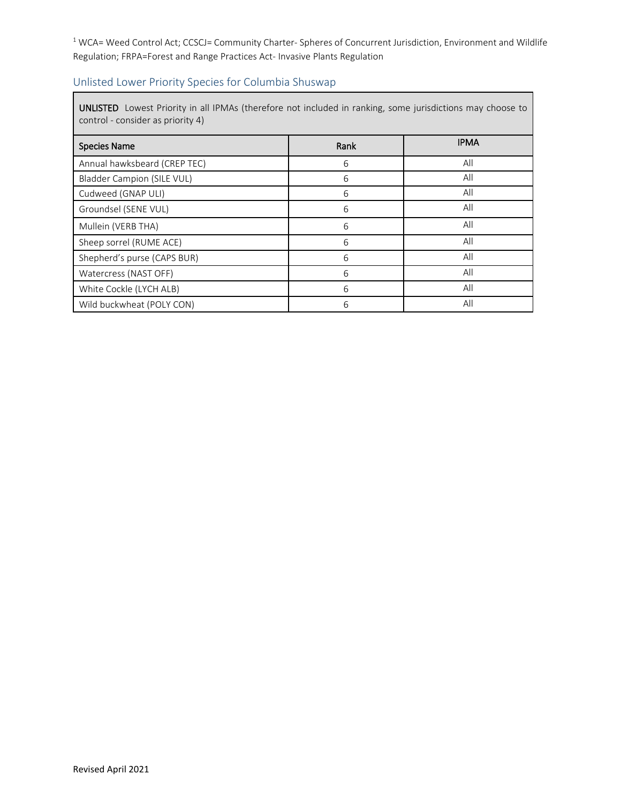<sup>1</sup> WCA= Weed Control Act; CCSCJ= Community Charter- Spheres of Concurrent Jurisdiction, Environment and Wildlife Regulation; FRPA=Forest and Range Practices Act- Invasive Plants Regulation

#### Unlisted Lower Priority Species for Columbia Shuswap

UNLISTED Lowest Priority in all IPMAs (therefore not included in ranking, some jurisdictions may choose to control - consider as priority 4)

| <b>Species Name</b>               | Rank | <b>IPMA</b> |
|-----------------------------------|------|-------------|
| Annual hawksbeard (CREP TEC)      | 6    | All         |
| <b>Bladder Campion (SILE VUL)</b> | 6    | All         |
| Cudweed (GNAP ULI)                | 6    | All         |
| Groundsel (SENE VUL)              | 6    | All         |
| Mullein (VERB THA)                | 6    | All         |
| Sheep sorrel (RUME ACE)           | 6    | All         |
| Shepherd's purse (CAPS BUR)       | 6    | All         |
| Watercress (NAST OFF)             | 6    | All         |
| White Cockle (LYCH ALB)           | 6    | All         |
| Wild buckwheat (POLY CON)         | 6    | All         |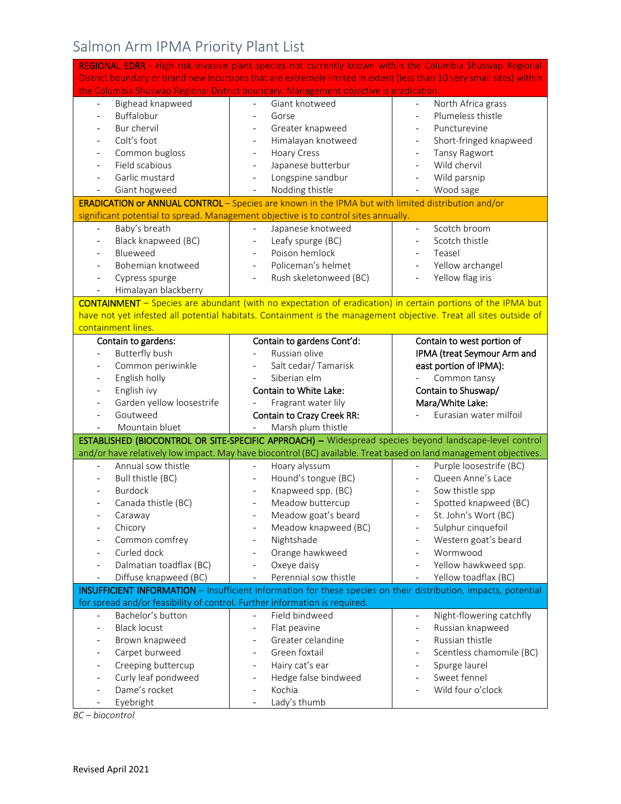# Salmon Arm IPMA Priority Plant List

|                                                                            | REGIONAL EDRR - High risk invasive plant species not currently known within the Columbia Shuswap Regional             |                                                      |
|----------------------------------------------------------------------------|-----------------------------------------------------------------------------------------------------------------------|------------------------------------------------------|
|                                                                            | District boundary or brand new incursions that are extremely limited in extent (less than 10 very small sites) within |                                                      |
|                                                                            | the Columbia Shuswap Regional District boundary. Management objective is eradication.                                 |                                                      |
| Bighead knapweed<br>$\overline{\phantom{0}}$                               | Giant knotweed<br>$\overline{\phantom{0}}$                                                                            | North Africa grass<br>$\overline{\phantom{a}}$       |
| Buffalobur<br>$\overline{\phantom{0}}$                                     | Gorse                                                                                                                 | Plumeless thistle<br>$\overline{\phantom{a}}$        |
| Bur chervil                                                                | Greater knapweed                                                                                                      | Puncturevine                                         |
| Colt's foot                                                                | Himalayan knotweed<br>$\overline{\phantom{a}}$                                                                        | Short-fringed knapweed                               |
| Common bugloss                                                             | <b>Hoary Cress</b><br>$\overline{\phantom{a}}$                                                                        | <b>Tansy Ragwort</b>                                 |
| Field scabious                                                             | Japanese butterbur<br>$\overline{\phantom{a}}$                                                                        | Wild chervil                                         |
| Garlic mustard                                                             | Longspine sandbur<br>$\overline{\phantom{0}}$                                                                         | Wild parsnip                                         |
| Giant hogweed                                                              | Nodding thistle                                                                                                       | Wood sage                                            |
|                                                                            | ERADICATION or ANNUAL CONTROL - Species are known in the IPMA but with limited distribution and/or                    |                                                      |
|                                                                            | significant potential to spread. Management objective is to control sites annually.                                   |                                                      |
| Baby's breath                                                              | Japanese knotweed<br>$\blacksquare$                                                                                   | Scotch broom<br>$\overline{\phantom{a}}$             |
| Black knapweed (BC)                                                        | Leafy spurge (BC)<br>$\overline{\phantom{a}}$                                                                         | Scotch thistle<br>$\overline{\phantom{a}}$           |
| Blueweed                                                                   | Poison hemlock                                                                                                        | Teasel                                               |
| Bohemian knotweed                                                          | Policeman's helmet                                                                                                    | Yellow archangel<br>$\frac{1}{2}$                    |
| Cypress spurge<br>$\qquad \qquad \blacksquare$                             | Rush skeletonweed (BC)                                                                                                | Yellow flag iris                                     |
| Himalayan blackberry                                                       |                                                                                                                       |                                                      |
|                                                                            | CONTAINMENT - Species are abundant (with no expectation of eradication) in certain portions of the IPMA but           |                                                      |
|                                                                            | have not yet infested all potential habitats. Containment is the management objective. Treat all sites outside of     |                                                      |
| containment lines.                                                         |                                                                                                                       |                                                      |
| Contain to gardens:                                                        | Contain to gardens Cont'd:                                                                                            | Contain to west portion of                           |
| <b>Butterfly bush</b><br>$\overline{\phantom{0}}$                          | Russian olive<br>$\blacksquare$                                                                                       | IPMA (treat Seymour Arm and                          |
| Common periwinkle                                                          | Salt cedar/Tamarisk                                                                                                   | east portion of IPMA):                               |
| English holly                                                              | Siberian elm                                                                                                          | Common tansy                                         |
| English ivy                                                                | Contain to White Lake:                                                                                                | Contain to Shuswap/                                  |
|                                                                            |                                                                                                                       |                                                      |
| Garden yellow loosestrife                                                  | Fragrant water lily                                                                                                   | Mara/White Lake:                                     |
| Goutweed                                                                   | Contain to Crazy Creek RR:                                                                                            | Eurasian water milfoil                               |
| Mountain bluet                                                             | Marsh plum thistle                                                                                                    |                                                      |
|                                                                            | ESTABLISHED (BIOCONTROL OR SITE-SPECIFIC APPROACH) - Widespread species beyond landscape-level control                |                                                      |
|                                                                            | and/or have relatively low impact. May have biocontrol (BC) available. Treat based on land management objectives.     |                                                      |
| Annual sow thistle                                                         | Hoary alyssum                                                                                                         | Purple loosestrife (BC)                              |
| Bull thistle (BC)                                                          | Hound's tongue (BC)                                                                                                   | Queen Anne's Lace                                    |
| <b>Burdock</b>                                                             | Knapweed spp. (BC)                                                                                                    | Sow thistle spp                                      |
| Canada thistle (BC)                                                        | Meadow buttercup                                                                                                      | Spotted knapweed (BC)                                |
| Caraway                                                                    | Meadow goat's beard                                                                                                   | St. John's Wort (BC)                                 |
| Chicory                                                                    | Meadow knapweed (BC)                                                                                                  | Sulphur cinquefoil                                   |
| Common comfrey                                                             | Nightshade<br>$\qquad \qquad \blacksquare$                                                                            | Western goat's beard                                 |
| Curled dock                                                                | Orange hawkweed<br>$\overline{\phantom{0}}$                                                                           | Wormwood                                             |
| Dalmatian toadflax (BC)                                                    | Oxeye daisy<br>$\overline{\phantom{0}}$                                                                               | Yellow hawkweed spp.                                 |
| Diffuse knapweed (BC)<br>$\overline{\phantom{0}}$                          | Perennial sow thistle                                                                                                 | Yellow toadflax (BC)                                 |
|                                                                            | INSUFFICIENT INFORMATION - Insufficient information for these species on their distribution, impacts, potential       |                                                      |
| for spread and/or feasibility of control. Further information is required. |                                                                                                                       |                                                      |
| Bachelor's button<br>$\overline{a}$                                        | Field bindweed<br>$\overline{a}$                                                                                      | Night-flowering catchfly<br>$\overline{\phantom{a}}$ |
| <b>Black locust</b>                                                        | Flat peavine<br>$\overline{\phantom{0}}$                                                                              | Russian knapweed<br>$\overline{\phantom{0}}$         |
| Brown knapweed                                                             | Greater celandine<br>$\overline{\phantom{0}}$                                                                         | Russian thistle                                      |
| Carpet burweed                                                             | Green foxtail<br>$\overline{\phantom{a}}$                                                                             | Scentless chamomile (BC)                             |
| Creeping buttercup                                                         | Hairy cat's ear<br>$\qquad \qquad \blacksquare$                                                                       | Spurge laurel                                        |
| Curly leaf pondweed                                                        | Hedge false bindweed<br>$\qquad \qquad \blacksquare$                                                                  | Sweet fennel                                         |
| Dame's rocket<br>Eyebright                                                 | Kochia<br>$\overline{\phantom{a}}$<br>Lady's thumb                                                                    | Wild four o'clock                                    |

*BC – biocontrol*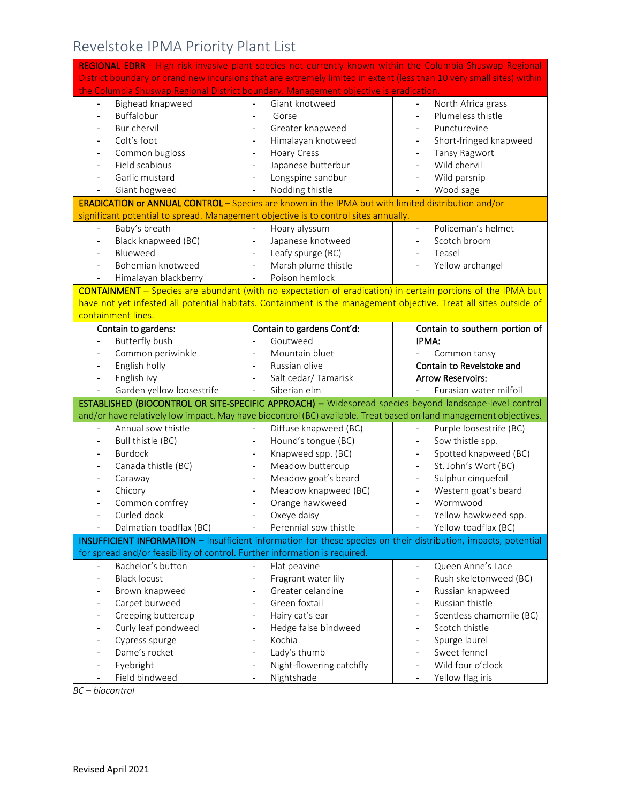# Revelstoke IPMA Priority Plant List

|                                                                            | REGIONAL EDRR - High risk invasive plant species not currently known within the Columbia Shuswap Regional             |                                                |
|----------------------------------------------------------------------------|-----------------------------------------------------------------------------------------------------------------------|------------------------------------------------|
|                                                                            | District boundary or brand new incursions that are extremely limited in extent (less than 10 very small sites) within |                                                |
|                                                                            | the Columbia Shuswap Regional District boundary. Management objective is eradication.                                 |                                                |
| Bighead knapweed<br>$\mathbb{L}^{\mathbb{N}}$                              | Giant knotweed<br>$\mathcal{L}^{\pm}$                                                                                 | North Africa grass<br>$\overline{\phantom{a}}$ |
| Buffalobur                                                                 | Gorse                                                                                                                 | Plumeless thistle                              |
| Bur chervil                                                                | Greater knapweed                                                                                                      | Puncturevine                                   |
| Colt's foot                                                                | Himalayan knotweed                                                                                                    | Short-fringed knapweed                         |
| Common bugloss                                                             | <b>Hoary Cress</b>                                                                                                    | Tansy Ragwort                                  |
| Field scabious                                                             | Japanese butterbur                                                                                                    | Wild chervil                                   |
| Garlic mustard                                                             | Longspine sandbur                                                                                                     | Wild parsnip                                   |
| Giant hogweed                                                              | Nodding thistle                                                                                                       | Wood sage                                      |
|                                                                            | ERADICATION or ANNUAL CONTROL - Species are known in the IPMA but with limited distribution and/or                    |                                                |
|                                                                            | significant potential to spread. Management objective is to control sites annually.                                   |                                                |
| Baby's breath<br>$\blacksquare$                                            | Hoary alyssum<br>$\overline{\phantom{a}}$                                                                             | Policeman's helmet<br>$\blacksquare$           |
| Black knapweed (BC)                                                        | Japanese knotweed                                                                                                     | Scotch broom                                   |
| Blueweed                                                                   | Leafy spurge (BC)                                                                                                     | Teasel                                         |
| Bohemian knotweed                                                          | Marsh plume thistle                                                                                                   | Yellow archangel                               |
| Himalayan blackberry                                                       | Poison hemlock                                                                                                        |                                                |
|                                                                            | <b>CONTAINMENT</b> - Species are abundant (with no expectation of eradication) in certain portions of the IPMA but    |                                                |
|                                                                            | have not yet infested all potential habitats. Containment is the management objective. Treat all sites outside of     |                                                |
| containment lines.                                                         |                                                                                                                       |                                                |
| Contain to gardens:                                                        | Contain to gardens Cont'd:                                                                                            | Contain to southern portion of                 |
| <b>Butterfly bush</b><br>$\blacksquare$                                    | Goutweed                                                                                                              | IPMA:                                          |
| Common periwinkle                                                          | Mountain bluet                                                                                                        | Common tansy                                   |
| English holly                                                              | Russian olive                                                                                                         | Contain to Revelstoke and                      |
|                                                                            |                                                                                                                       |                                                |
| English ivy<br>$\blacksquare$                                              | Salt cedar/ Tamarisk                                                                                                  | <b>Arrow Reservoirs:</b>                       |
| Garden yellow loosestrife                                                  | Siberian elm                                                                                                          | Eurasian water milfoil                         |
|                                                                            | ESTABLISHED (BIOCONTROL OR SITE-SPECIFIC APPROACH) - Widespread species beyond landscape-level control                |                                                |
|                                                                            | and/or have relatively low impact. May have biocontrol (BC) available. Treat based on land management objectives.     |                                                |
| Annual sow thistle                                                         | Diffuse knapweed (BC)                                                                                                 | Purple loosestrife (BC)                        |
| Bull thistle (BC)<br>$\overline{\phantom{a}}$                              | Hound's tongue (BC)                                                                                                   | Sow thistle spp.                               |
| <b>Burdock</b>                                                             | Knapweed spp. (BC)                                                                                                    | Spotted knapweed (BC)                          |
| Canada thistle (BC)                                                        | Meadow buttercup                                                                                                      | St. John's Wort (BC)<br>$\frac{1}{2}$          |
| Caraway                                                                    | Meadow goat's beard                                                                                                   | Sulphur cinquefoil                             |
| Chicory                                                                    | Meadow knapweed (BC)                                                                                                  | Western goat's beard                           |
| Common comfrey                                                             | Orange hawkweed                                                                                                       | Wormwood                                       |
| Curled dock                                                                | Oxeye daisy                                                                                                           | Yellow hawkweed spp.                           |
| Dalmatian toadflax (BC)                                                    | Perennial sow thistle                                                                                                 | Yellow toadflax (BC)                           |
|                                                                            | INSUFFICIENT INFORMATION - Insufficient information for these species on their distribution, impacts, potential       |                                                |
| for spread and/or feasibility of control. Further information is required. |                                                                                                                       |                                                |
| Bachelor's button<br>$\overline{\phantom{a}}$                              | Flat peavine                                                                                                          | Queen Anne's Lace<br>$\blacksquare$            |
| <b>Black locust</b>                                                        | Fragrant water lily                                                                                                   | Rush skeletonweed (BC)                         |
| Brown knapweed                                                             | Greater celandine                                                                                                     | Russian knapweed                               |
| Carpet burweed                                                             | Green foxtail                                                                                                         | Russian thistle                                |
| Creeping buttercup                                                         | Hairy cat's ear                                                                                                       | Scentless chamomile (BC)                       |
| Curly leaf pondweed                                                        | Hedge false bindweed                                                                                                  | Scotch thistle                                 |
| Cypress spurge                                                             | Kochia                                                                                                                | Spurge laurel                                  |
| Dame's rocket                                                              | Lady's thumb                                                                                                          | Sweet fennel                                   |
| Eyebright<br>Field bindweed                                                | Night-flowering catchfly<br>Nightshade                                                                                | Wild four o'clock<br>Yellow flag iris          |

*BC – biocontrol*